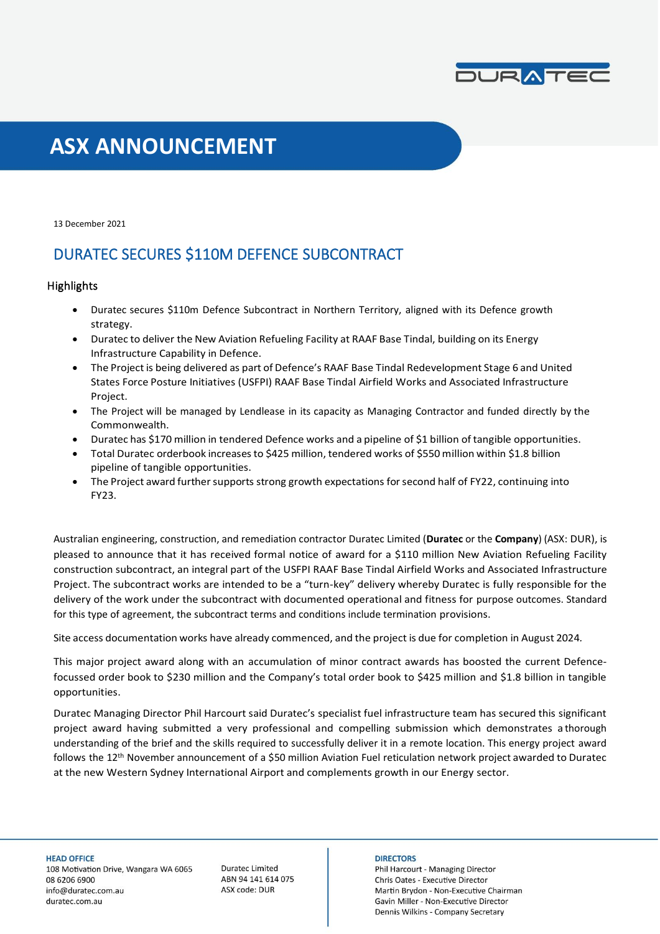

# **ASX ANNOUNCEMENT**

13 December 2021

### DURATEC SECURES \$110M DEFENCE SUBCONTRACT

### **Highlights**

- Duratec secures \$110m Defence Subcontract in Northern Territory, aligned with its Defence growth strategy.
- Duratec to deliver the New Aviation Refueling Facility at RAAF Base Tindal, building on its Energy Infrastructure Capability in Defence.
- The Project is being delivered as part of Defence's RAAF Base Tindal Redevelopment Stage 6 and United States Force Posture Initiatives (USFPI) RAAF Base Tindal Airfield Works and Associated Infrastructure Project.
- The Project will be managed by Lendlease in its capacity as Managing Contractor and funded directly by the Commonwealth.
- Duratec has \$170 million in tendered Defence works and a pipeline of \$1 billion of tangible opportunities.
- Total Duratec orderbook increasesto \$425 million, tendered works of \$550 million within \$1.8 billion pipeline of tangible opportunities.
- The Project award further supports strong growth expectations for second half of FY22, continuing into FY23.

Australian engineering, construction, and remediation contractor Duratec Limited (**Duratec** or the **Company**) (ASX: DUR), is pleased to announce that it has received formal notice of award for a \$110 million New Aviation Refueling Facility construction subcontract, an integral part of the USFPI RAAF Base Tindal Airfield Works and Associated Infrastructure Project. The subcontract works are intended to be a "turn-key" delivery whereby Duratec is fully responsible for the delivery of the work under the subcontract with documented operational and fitness for purpose outcomes. Standard for this type of agreement, the subcontract terms and conditions include termination provisions.

Site access documentation works have already commenced, and the project is due for completion in August 2024*.*

This major project award along with an accumulation of minor contract awards has boosted the current Defencefocussed order book to \$230 million and the Company's total order book to \$425 million and \$1.8 billion in tangible opportunities.

Duratec Managing Director Phil Harcourt said Duratec's specialist fuel infrastructure team has secured this significant project award having submitted a very professional and compelling submission which demonstrates a thorough understanding of the brief and the skills required to successfully deliver it in a remote location. This energy project award follows the 12th November announcement of a \$50 million Aviation Fuel reticulation network project awarded to Duratec at the new Western Sydney International Airport and complements growth in our Energy sector.

**Duratec Limited** ABN 94 141 614 075 ASX code: DUR

#### **DIRECTORS**

Phil Harcourt - Managing Director Chris Oates - Executive Director Martin Brydon - Non-Executive Chairman Gavin Miller - Non-Executive Director Dennis Wilkins - Company Secretary